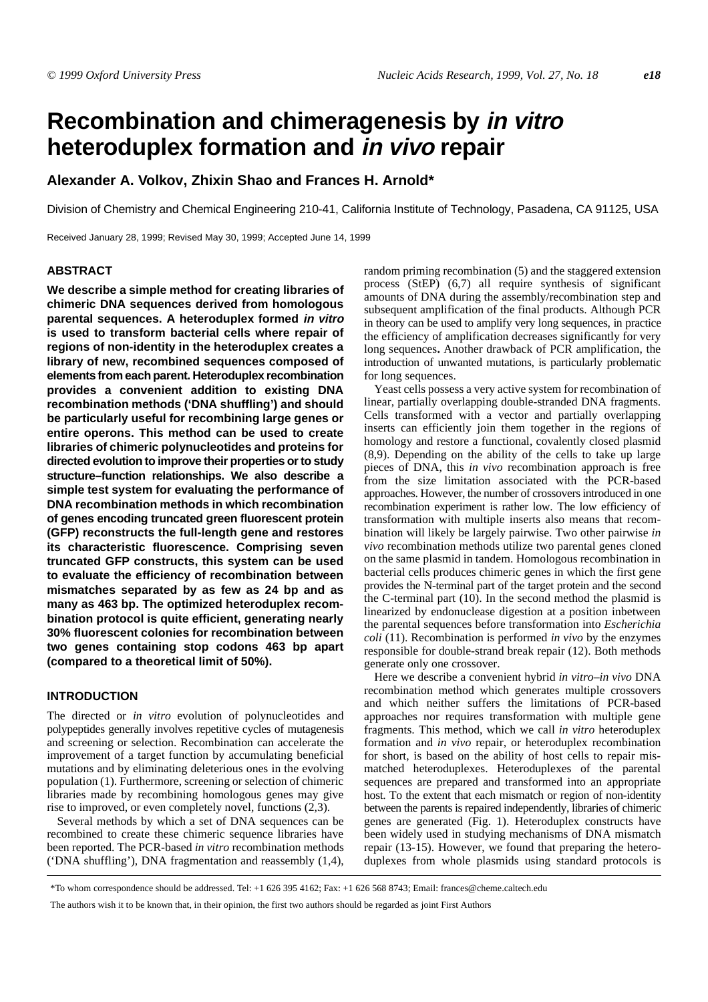# **Recombination and chimeragenesis by in vitro heteroduplex formation and in vivo repair**

# **Alexander A. Volkov, Zhixin Shao and Frances H. Arnold\***

Division of Chemistry and Chemical Engineering 210-41, California Institute of Technology, Pasadena, CA 91125, USA

Received January 28, 1999; Revised May 30, 1999; Accepted June 14, 1999

# **ABSTRACT**

**We describe a simple method for creating libraries of chimeric DNA sequences derived from homologous parental sequences. A heteroduplex formed in vitro is used to transform bacterial cells where repair of regions of non-identity in the heteroduplex creates a library of new, recombined sequences composed of elements from each parent. Heteroduplex recombination provides a convenient addition to existing DNA recombination methods ('DNA shuffling') and should be particularly useful for recombining large genes or entire operons. This method can be used to create libraries of chimeric polynucleotides and proteins for directed evolution to improve their properties or to study structure–function relationships. We also describe a simple test system for evaluating the performance of DNA recombination methods in which recombination of genes encoding truncated green fluorescent protein (GFP) reconstructs the full-length gene and restores its characteristic fluorescence. Comprising seven truncated GFP constructs, this system can be used to evaluate the efficiency of recombination between mismatches separated by as few as 24 bp and as many as 463 bp. The optimized heteroduplex recombination protocol is quite efficient, generating nearly 30% fluorescent colonies for recombination between two genes containing stop codons 463 bp apart (compared to a theoretical limit of 50%).**

# **INTRODUCTION**

The directed or *in vitro* evolution of polynucleotides and polypeptides generally involves repetitive cycles of mutagenesis and screening or selection. Recombination can accelerate the improvement of a target function by accumulating beneficial mutations and by eliminating deleterious ones in the evolving population ([1\)](#page-5-0). Furthermore, screening or selection of chimeric libraries made by recombining homologous genes may give rise to improved, or even completely novel, functions [\(2](#page-5-1),[3\)](#page-5-2).

Several methods by which a set of DNA sequences can be recombined to create these chimeric sequence libraries have been reported. The PCR-based *in vitro* recombination methods ('DNA shuffling'), DNA fragmentation and reassembly ([1,](#page-5-0)[4](#page-5-3)), random priming recombination [\(5\)](#page-5-4) and the staggered extension process (StEP) ([6,](#page-5-5)[7](#page-5-6)) all require synthesis of significant amounts of DNA during the assembly/recombination step and subsequent amplification of the final products. Although PCR in theory can be used to amplify very long sequences, in practice the efficiency of amplification decreases significantly for very long sequences**.** Another drawback of PCR amplification, the introduction of unwanted mutations, is particularly problematic for long sequences.

Yeast cells possess a very active system for recombination of linear, partially overlapping double-stranded DNA fragments. Cells transformed with a vector and partially overlapping inserts can efficiently join them together in the regions of homology and restore a functional, covalently closed plasmid [\(8](#page-5-7),[9\)](#page-5-8). Depending on the ability of the cells to take up large pieces of DNA, this *in vivo* recombination approach is free from the size limitation associated with the PCR-based approaches. However, the number of crossovers introduced in one recombination experiment is rather low. The low efficiency of transformation with multiple inserts also means that recombination will likely be largely pairwise. Two other pairwise *in vivo* recombination methods utilize two parental genes cloned on the same plasmid in tandem. Homologous recombination in bacterial cells produces chimeric genes in which the first gene provides the N-terminal part of the target protein and the second the C-terminal part ([10](#page-5-9)). In the second method the plasmid is linearized by endonuclease digestion at a position inbetween the parental sequences before transformation into *Escherichia coli* [\(11\)](#page-5-10). Recombination is performed *in vivo* by the enzymes responsible for double-strand break repair ([12\)](#page-5-11). Both methods generate only one crossover.

Here we describe a convenient hybrid *in vitro*–*in vivo* DNA recombination method which generates multiple crossovers and which neither suffers the limitations of PCR-based approaches nor requires transformation with multiple gene fragments. This method, which we call *in vitro* heteroduplex formation and *in vivo* repair, or heteroduplex recombination for short, is based on the ability of host cells to repair mismatched heteroduplexes. Heteroduplexes of the parental sequences are prepared and transformed into an appropriate host. To the extent that each mismatch or region of non-identity between the parents is repaired independently, libraries of chimeric genes are generated (Fig. [1](#page-1-0)). Heteroduplex constructs have been widely used in studying mechanisms of DNA mismatch repair (13-15). However, we found that preparing the heteroduplexes from whole plasmids using standard protocols is

<sup>\*</sup>To whom correspondence should be addressed. Tel: +1 626 395 4162; Fax: +1 626 568 8743; Email: frances@cheme.caltech.edu

The authors wish it to be known that, in their opinion, the first two authors should be regarded as joint First Authors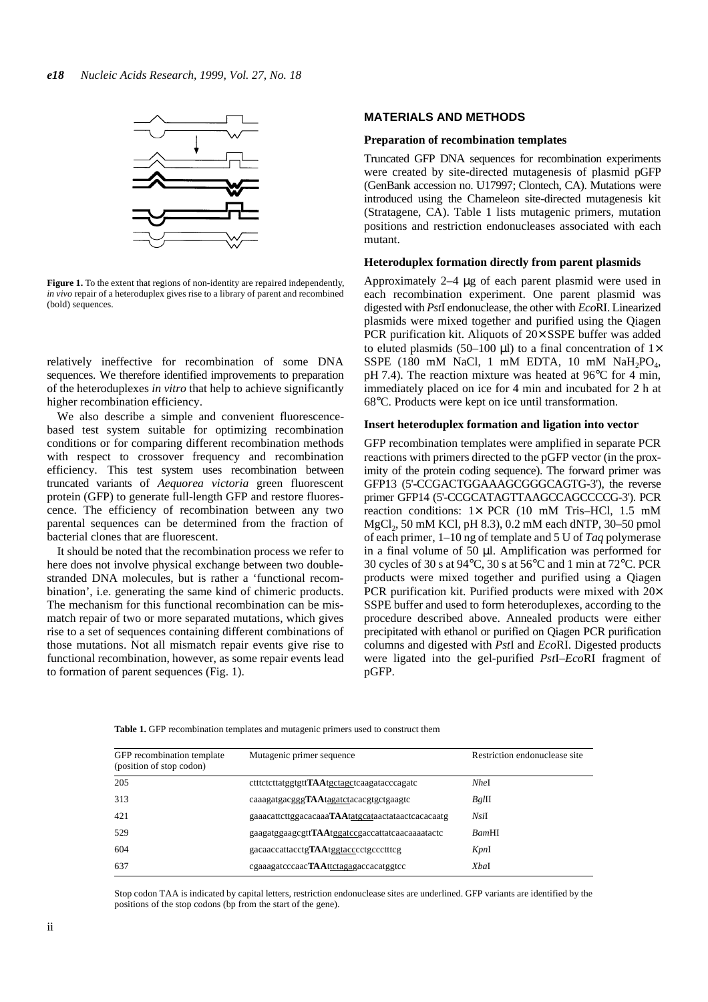<span id="page-1-1"></span><span id="page-1-0"></span>

**Figure 1.** To the extent that regions of non-identity are repaired independently, *in vivo* repair of a heteroduplex gives rise to a library of parent and recombined (bold) sequences.

relatively ineffective for recombination of some DNA sequences. We therefore identified improvements to preparation of the heteroduplexes *in vitro* that help to achieve significantly higher recombination efficiency.

We also describe a simple and convenient fluorescencebased test system suitable for optimizing recombination conditions or for comparing different recombination methods with respect to crossover frequency and recombination efficiency. This test system uses recombination between truncated variants of *Aequorea victoria* green fluorescent protein (GFP) to generate full-length GFP and restore fluorescence. The efficiency of recombination between any two parental sequences can be determined from the fraction of bacterial clones that are fluorescent.

It should be noted that the recombination process we refer to here does not involve physical exchange between two doublestranded DNA molecules, but is rather a 'functional recombination', i.e. generating the same kind of chimeric products. The mechanism for this functional recombination can be mismatch repair of two or more separated mutations, which gives rise to a set of sequences containing different combinations of those mutations. Not all mismatch repair events give rise to functional recombination, however, as some repair events lead to formation of parent sequences (Fig. [1\)](#page-1-0).

# **MATERIALS AND METHODS**

#### **Preparation of recombination templates**

Truncated GFP DNA sequences for recombination experiments were created by site-directed mutagenesis of plasmid pGFP (GenBank accession no. U17997; Clontech, CA). Mutations were introduced using the Chameleon site-directed mutagenesis kit (Stratagene, CA). Table 1 lists mutagenic primers, mutation positions and restriction endonucleases associated with each mutant.

## **Heteroduplex formation directly from parent plasmids**

Approximately 2–4 µg of each parent plasmid were used in each recombination experiment. One parent plasmid was digested with *Pst*I endonuclease, the other with *Eco*RI. Linearized plasmids were mixed together and purified using the Qiagen PCR purification kit. Aliquots of 20× SSPE buffer was added to eluted plasmids (50–100  $\mu$ l) to a final concentration of 1× SSPE (180 mM NaCl, 1 mM EDTA, 10 mM NaH<sub>2</sub>PO<sub>4</sub>, pH 7.4). The reaction mixture was heated at 96°C for 4 min, immediately placed on ice for 4 min and incubated for 2 h at 68°C. Products were kept on ice until transformation.

#### **Insert heteroduplex formation and ligation into vector**

GFP recombination templates were amplified in separate PCR reactions with primers directed to the pGFP vector (in the proximity of the protein coding sequence). The forward primer was GFP13 (5'-CCGACTGGAAAGCGGGCAGTG-3'), the reverse primer GFP14 (5'-CCGCATAGTTAAGCCAGCCCCG-3'). PCR reaction conditions: 1× PCR (10 mM Tris–HCl, 1.5 mM MgCl<sub>2</sub>, 50 mM KCl, pH 8.3), 0.2 mM each dNTP, 30–50 pmol of each primer, 1–10 ng of template and 5 U of *Taq* polymerase in a final volume of 50  $\mu$ l. Amplification was performed for 30 cycles of 30 s at 94°C, 30 s at 56°C and 1 min at 72°C. PCR products were mixed together and purified using a Qiagen PCR purification kit. Purified products were mixed with  $20\times$ SSPE buffer and used to form heteroduplexes, according to the procedure described above. Annealed products were either precipitated with ethanol or purified on Qiagen PCR purification columns and digested with *Pst*I and *Eco*RI. Digested products were ligated into the gel-purified *Pst*I–*Eco*RI fragment of pGFP.

| GFP recombination template<br>(position of stop codon) | Mutagenic primer sequence                         | Restriction endonuclease site |
|--------------------------------------------------------|---------------------------------------------------|-------------------------------|
| 205                                                    | ctttctcttatggtgttTAAtgctagctcaagatacccagatc       | NheI                          |
| 313                                                    | caaagatgacgggTAAtagatctacacgtgctgaagtc            | $Bg$ lll                      |
| 421                                                    | gaaacattcttggacacaaaTAAtatgcataactataactcacacaatg | NsiI                          |
| 529                                                    | gaagatggaagcgttTAAtggatccgaccattatcaacaaaatactc   | <b>BamHI</b>                  |
| 604                                                    | gacaaccattacctgTAAtggtacccctgccctttcg             | KpnI                          |
| 637                                                    | cgaaagatcccaacTAAttctagagaccacatggtcc             | XbaI                          |

**Table 1.** GFP recombination templates and mutagenic primers used to construct them

Stop codon TAA is indicated by capital letters, restriction endonuclease sites are underlined. GFP variants are identified by the positions of the stop codons (bp from the start of the gene).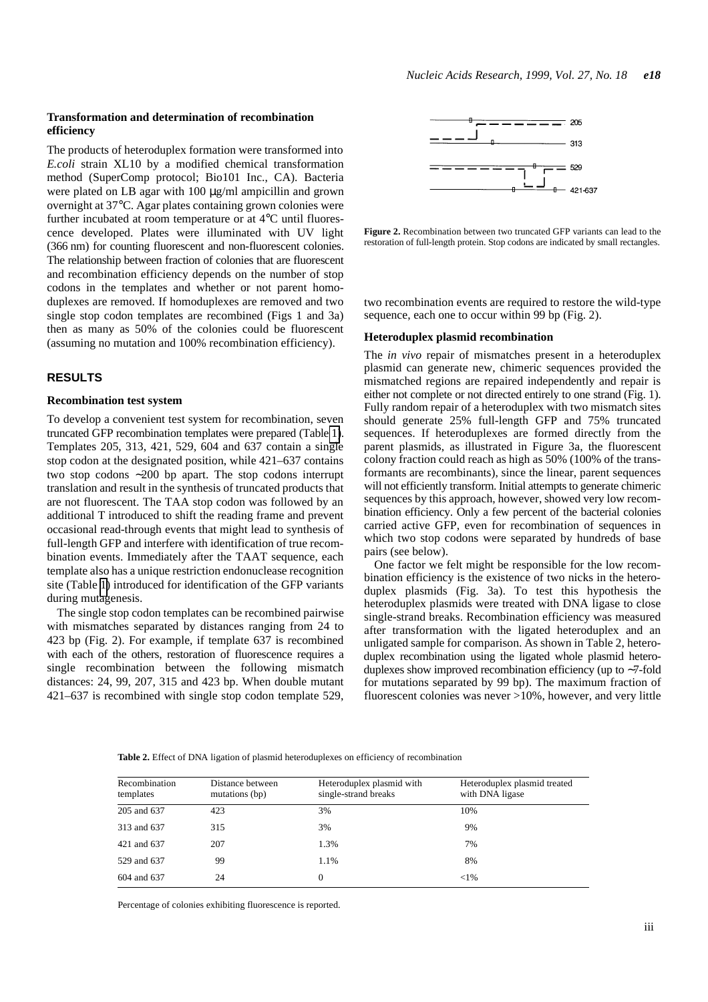# <span id="page-2-0"></span>**Transformation and determination of recombination efficiency**

The products of heteroduplex formation were transformed into *E.coli* strain XL10 by a modified chemical transformation method (SuperComp protocol; Bio101 Inc., CA). Bacteria were plated on LB agar with 100  $\mu$ g/ml ampicillin and grown overnight at 37°C. Agar plates containing grown colonies were further incubated at room temperature or at 4°C until fluorescence developed. Plates were illuminated with UV light (366 nm) for counting fluorescent and non-fluorescent colonies. The relationship between fraction of colonies that are fluorescent and recombination efficiency depends on the number of stop codons in the templates and whether or not parent homoduplexes are removed. If homoduplexes are removed and two single stop codon templates are recombined (Figs [1](#page-1-0) and [3](#page-3-0)a) then as many as 50% of the colonies could be fluorescent (assuming no mutation and 100% recombination efficiency).

# **RESULTS**

# **Recombination test system**

To develop a convenient test system for recombination, seven truncated GFP recombination templates were prepared (Table [1\)](#page-1-1). Templates 205, 313, 421, 529, 604 and 637 contain a single stop codon at the designated position, while 421–637 contains two stop codons ∼200 bp apart. The stop codons interrupt translation and result in the synthesis of truncated products that are not fluorescent. The TAA stop codon was followed by an additional T introduced to shift the reading frame and prevent occasional read-through events that might lead to synthesis of full-length GFP and interfere with identification of true recombination events. Immediately after the TAAT sequence, each template also has a unique restriction endonuclease recognition site (Table [1\)](#page-1-1) introduced for identification of the GFP variants during mutagenesis.

The single stop codon templates can be recombined pairwise with mismatches separated by distances ranging from 24 to 423 bp (Fig. [2\)](#page-2-0). For example, if template 637 is recombined with each of the others, restoration of fluorescence requires a single recombination between the following mismatch distances: 24, 99, 207, 315 and 423 bp. When double mutant 421–637 is recombined with single stop codon template 529,



**Figure 2.** Recombination between two truncated GFP variants can lead to the restoration of full-length protein. Stop codons are indicated by small rectangles.

two recombination events are required to restore the wild-type sequence, each one to occur within 99 bp (Fig. [2\)](#page-2-0).

#### **Heteroduplex plasmid recombination**

The *in vivo* repair of mismatches present in a heteroduplex plasmid can generate new, chimeric sequences provided the mismatched regions are repaired independently and repair is either not complete or not directed entirely to one strand (Fig. [1](#page-1-0)). Fully random repair of a heteroduplex with two mismatch sites should generate 25% full-length GFP and 75% truncated sequences. If heteroduplexes are formed directly from the parent plasmids, as illustrated in Figure [3a](#page-3-0), the fluorescent colony fraction could reach as high as 50% (100% of the transformants are recombinants), since the linear, parent sequences will not efficiently transform. Initial attempts to generate chimeric sequences by this approach, however, showed very low recombination efficiency. Only a few percent of the bacterial colonies carried active GFP, even for recombination of sequences in which two stop codons were separated by hundreds of base pairs (see below).

One factor we felt might be responsible for the low recombination efficiency is the existence of two nicks in the heteroduplex plasmids (Fig. [3a](#page-3-0)). To test this hypothesis the heteroduplex plasmids were treated with DNA ligase to close single-strand breaks. Recombination efficiency was measured after transformation with the ligated heteroduplex and an unligated sample for comparison. As shown in Table 2, heteroduplex recombination using the ligated whole plasmid heteroduplexes show improved recombination efficiency (up to ∼7-fold for mutations separated by 99 bp). The maximum fraction of fluorescent colonies was never  $>10\%$ , however, and very little

| Recombination<br>templates | Distance between<br>mutations (bp) | Heteroduplex plasmid with<br>single-strand breaks | Heteroduplex plasmid treated<br>with DNA ligase |
|----------------------------|------------------------------------|---------------------------------------------------|-------------------------------------------------|
| 205 and 637                | 423                                | 3%                                                | 10%                                             |
| 313 and 637                | 315                                | 3%                                                | 9%                                              |
| 421 and 637                | 207                                | 1.3%                                              | 7%                                              |
| 529 and 637                | 99                                 | 1.1%                                              | 8%                                              |
| 604 and 637                | 24                                 | $\theta$                                          | ${<}1\%$                                        |

**Table 2.** Effect of DNA ligation of plasmid heteroduplexes on efficiency of recombination

Percentage of colonies exhibiting fluorescence is reported.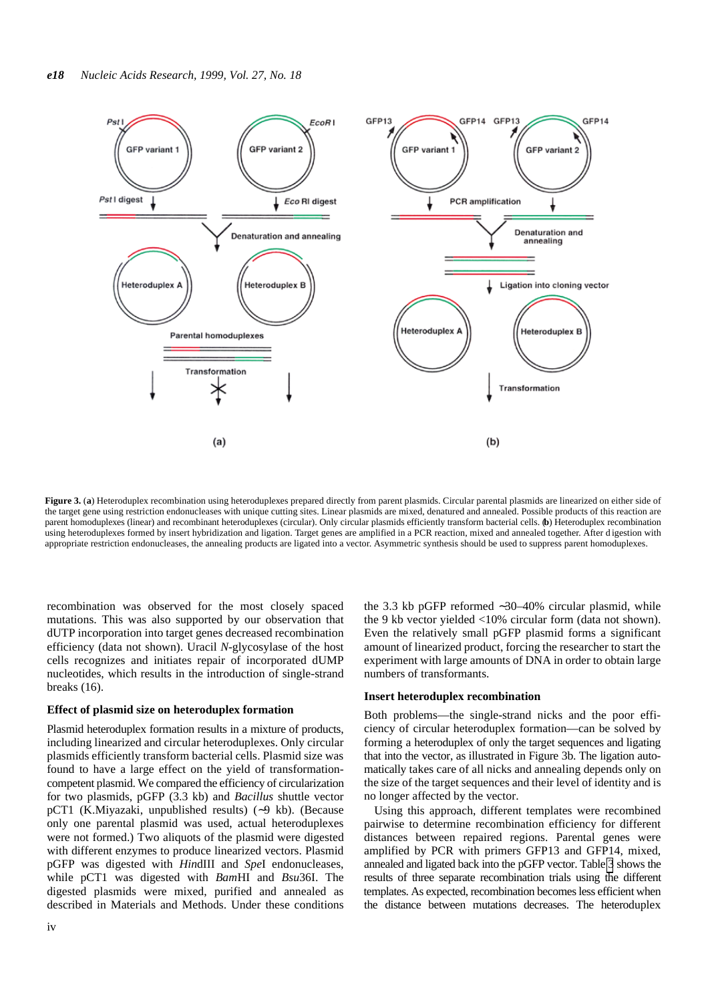<span id="page-3-1"></span><span id="page-3-0"></span>

**Figure 3.** (**a**) Heteroduplex recombination using heteroduplexes prepared directly from parent plasmids. Circular parental plasmids are linearized on either side of the target gene using restriction endonucleases with unique cutting sites. Linear plasmids are mixed, denatured and annealed. Possible products of this reaction are parent homoduplexes (linear) and recombinant heteroduplexes (circular). Only circular plasmids efficiently transform bacterial cells. (**b**) Heteroduplex recombination using heteroduplexes formed by insert hybridization and ligation. Target genes are amplified in a PCR reaction, mixed and annealed together. After d igestion with appropriate restriction endonucleases, the annealing products are ligated into a vector. Asymmetric synthesis should be used to suppress parent homoduplexes.

recombination was observed for the most closely spaced mutations. This was also supported by our observation that dUTP incorporation into target genes decreased recombination efficiency (data not shown). Uracil *N*-glycosylase of the host cells recognizes and initiates repair of incorporated dUMP nucleotides, which results in the introduction of single-strand breaks [\(16](#page-5-12)).

#### **Effect of plasmid size on heteroduplex formation**

Plasmid heteroduplex formation results in a mixture of products, including linearized and circular heteroduplexes. Only circular plasmids efficiently transform bacterial cells. Plasmid size was found to have a large effect on the yield of transformationcompetent plasmid. We compared the efficiency of circularization for two plasmids, pGFP (3.3 kb) and *Bacillus* shuttle vector pCT1 (K.Miyazaki, unpublished results) (∼9 kb). (Because only one parental plasmid was used, actual heteroduplexes were not formed.) Two aliquots of the plasmid were digested with different enzymes to produce linearized vectors. Plasmid pGFP was digested with *Hin*dIII and *Spe*I endonucleases, while pCT1 was digested with *Bam*HI and *Bsu*36I. The digested plasmids were mixed, purified and annealed as described in Materials and Methods. Under these conditions

the 3.3 kb pGFP reformed ∼30–40% circular plasmid, while the 9 kb vector yielded <10% circular form (data not shown). Even the relatively small pGFP plasmid forms a significant amount of linearized product, forcing the researcher to start the experiment with large amounts of DNA in order to obtain large numbers of transformants.

#### **Insert heteroduplex recombination**

Both problems—the single-strand nicks and the poor efficiency of circular heteroduplex formation—can be solved by forming a heteroduplex of only the target sequences and ligating that into the vector, as illustrated in Figure [3b](#page-3-0). The ligation automatically takes care of all nicks and annealing depends only on the size of the target sequences and their level of identity and is no longer affected by the vector.

Using this approach, different templates were recombined pairwise to determine recombination efficiency for different distances between repaired regions. Parental genes were amplified by PCR with primers GFP13 and GFP14, mixed, annealed and ligated back into the pGFP vector. Table [3](#page-4-0) shows the results of three separate recombination trials using the different templates. As expected, recombination becomes less efficient when the distance between mutations decreases. The heteroduplex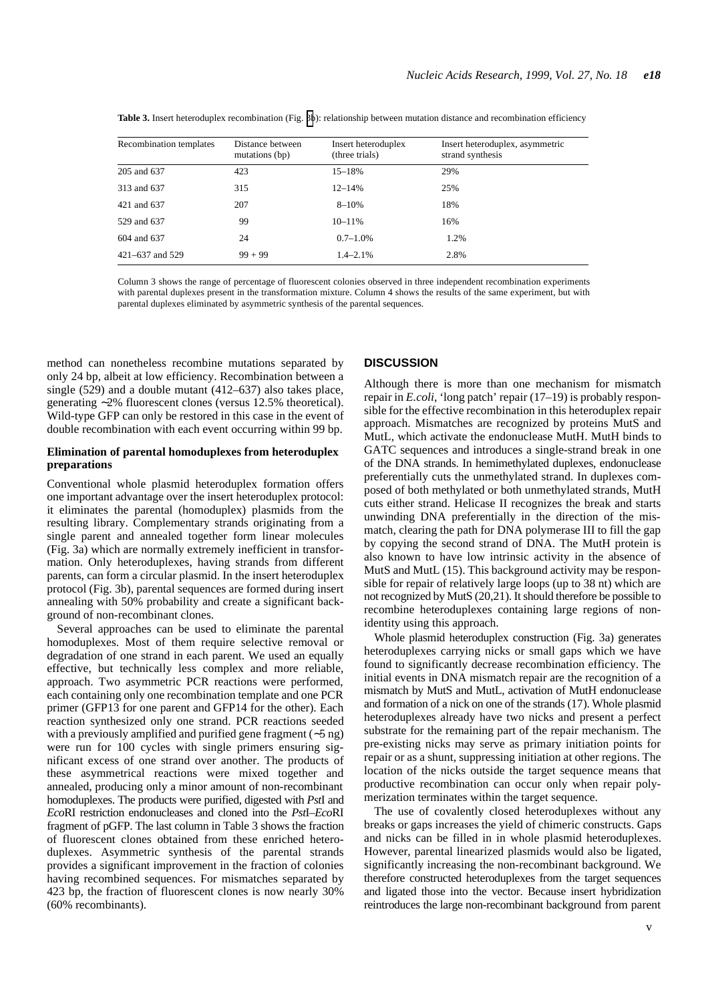| Recombination templates | Distance between<br>mutations (bp) | Insert heteroduplex<br>(three trials) | Insert heteroduplex, asymmetric<br>strand synthesis |
|-------------------------|------------------------------------|---------------------------------------|-----------------------------------------------------|
| 205 and 637             | 423                                | $15 - 18%$                            | 29%                                                 |
| 313 and 637             | 315                                | $12 - 14%$                            | 25%                                                 |
| 421 and 637             | 207                                | $8 - 10%$                             | 18%                                                 |
| 529 and 637             | 99                                 | $10 - 11%$                            | 16%                                                 |
| 604 and 637             | 24                                 | $0.7 - 1.0\%$                         | 1.2%                                                |
| $421 - 637$ and 529     | $99 + 99$                          | $1.4 - 2.1\%$                         | 2.8%                                                |

<span id="page-4-0"></span>**Table 3.** Insert heteroduplex recombination (Fig. [3b](#page-3-1)): relationship between mutation distance and recombination efficiency

Column 3 shows the range of percentage of fluorescent colonies observed in three independent recombination experiments with parental duplexes present in the transformation mixture. Column 4 shows the results of the same experiment, but with parental duplexes eliminated by asymmetric synthesis of the parental sequences.

method can nonetheless recombine mutations separated by only 24 bp, albeit at low efficiency. Recombination between a single (529) and a double mutant (412–637) also takes place, generating ∼2% fluorescent clones (versus 12.5% theoretical). Wild-type GFP can only be restored in this case in the event of double recombination with each event occurring within 99 bp.

#### **Elimination of parental homoduplexes from heteroduplex preparations**

Conventional whole plasmid heteroduplex formation offers one important advantage over the insert heteroduplex protocol: it eliminates the parental (homoduplex) plasmids from the resulting library. Complementary strands originating from a single parent and annealed together form linear molecules (Fig. [3](#page-3-0)a) which are normally extremely inefficient in transformation. Only heteroduplexes, having strands from different parents, can form a circular plasmid. In the insert heteroduplex protocol (Fig. [3b](#page-3-0)), parental sequences are formed during insert annealing with 50% probability and create a significant background of non-recombinant clones.

Several approaches can be used to eliminate the parental homoduplexes. Most of them require selective removal or degradation of one strand in each parent. We used an equally effective, but technically less complex and more reliable, approach. Two asymmetric PCR reactions were performed, each containing only one recombination template and one PCR primer (GFP13 for one parent and GFP14 for the other). Each reaction synthesized only one strand. PCR reactions seeded with a previously amplified and purified gene fragment (∼5 ng) were run for 100 cycles with single primers ensuring significant excess of one strand over another. The products of these asymmetrical reactions were mixed together and annealed, producing only a minor amount of non-recombinant homoduplexes. The products were purified, digested with *Pst*I and *Eco*RI restriction endonucleases and cloned into the *Pst*I–*Eco*RI fragment of pGFP. The last column in Table 3 shows the fraction of fluorescent clones obtained from these enriched heteroduplexes. Asymmetric synthesis of the parental strands provides a significant improvement in the fraction of colonies having recombined sequences. For mismatches separated by 423 bp, the fraction of fluorescent clones is now nearly 30% (60% recombinants).

#### **DISCUSSION**

Although there is more than one mechanism for mismatch repair in *E.coli*, 'long patch' repair ([17–](#page-5-13)[19\)](#page-5-14) is probably responsible for the effective recombination in this heteroduplex repair approach. Mismatches are recognized by proteins MutS and MutL, which activate the endonuclease MutH. MutH binds to GATC sequences and introduces a single-strand break in one of the DNA strands. In hemimethylated duplexes, endonuclease preferentially cuts the unmethylated strand. In duplexes composed of both methylated or both unmethylated strands, MutH cuts either strand. Helicase II recognizes the break and starts unwinding DNA preferentially in the direction of the mismatch, clearing the path for DNA polymerase III to fill the gap by copying the second strand of DNA. The MutH protein is also known to have low intrinsic activity in the absence of MutS and MutL [\(15](#page-5-15)). This background activity may be responsible for repair of relatively large loops (up to 38 nt) which are not recognized by MutS [\(20](#page-5-16)[,21](#page-5-17)). It should therefore be possible to recombine heteroduplexes containing large regions of nonidentity using this approach.

Whole plasmid heteroduplex construction (Fig. [3a](#page-3-0)) generates heteroduplexes carrying nicks or small gaps which we have found to significantly decrease recombination efficiency. The initial events in DNA mismatch repair are the recognition of a mismatch by MutS and MutL, activation of MutH endonuclease and formation of a nick on one of the strands [\(17](#page-5-13)). Whole plasmid heteroduplexes already have two nicks and present a perfect substrate for the remaining part of the repair mechanism. The pre-existing nicks may serve as primary initiation points for repair or as a shunt, suppressing initiation at other regions. The location of the nicks outside the target sequence means that productive recombination can occur only when repair polymerization terminates within the target sequence.

The use of covalently closed heteroduplexes without any breaks or gaps increases the yield of chimeric constructs. Gaps and nicks can be filled in in whole plasmid heteroduplexes. However, parental linearized plasmids would also be ligated, significantly increasing the non-recombinant background. We therefore constructed heteroduplexes from the target sequences and ligated those into the vector. Because insert hybridization reintroduces the large non-recombinant background from parent